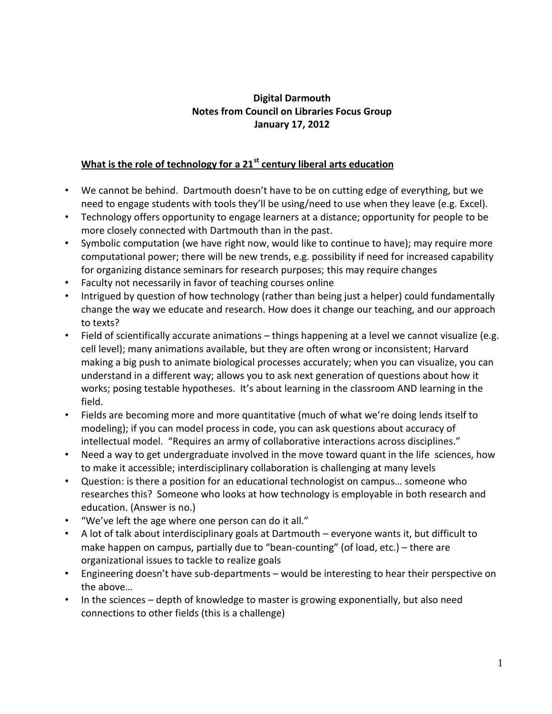## **Digital Darmouth Notes from Council on Libraries Focus Group January 17, 2012**

## **What is the role of technology for a 21st century liberal arts education**

- We cannot be behind. Dartmouth doesn't have to be on cutting edge of everything, but we need to engage students with tools they'll be using/need to use when they leave (e.g. Excel).
- Technology offers opportunity to engage learners at a distance; opportunity for people to be more closely connected with Dartmouth than in the past.
- Symbolic computation (we have right now, would like to continue to have); may require more computational power; there will be new trends, e.g. possibility if need for increased capability for organizing distance seminars for research purposes; this may require changes
- Faculty not necessarily in favor of teaching courses online
- Intrigued by question of how technology (rather than being just a helper) could fundamentally change the way we educate and research. How does it change our teaching, and our approach to texts?
- Field of scientifically accurate animations things happening at a level we cannot visualize (e.g. cell level); many animations available, but they are often wrong or inconsistent; Harvard making a big push to animate biological processes accurately; when you can visualize, you can understand in a different way; allows you to ask next generation of questions about how it works; posing testable hypotheses. It's about learning in the classroom AND learning in the field.
- Fields are becoming more and more quantitative (much of what we're doing lends itself to modeling); if you can model process in code, you can ask questions about accuracy of intellectual model. "Requires an army of collaborative interactions across disciplines."
- Need a way to get undergraduate involved in the move toward quant in the life sciences, how to make it accessible; interdisciplinary collaboration is challenging at many levels
- Question: is there a position for an educational technologist on campus… someone who researches this? Someone who looks at how technology is employable in both research and education. (Answer is no.)
- "We've left the age where one person can do it all."
- A lot of talk about interdisciplinary goals at Dartmouth everyone wants it, but difficult to make happen on campus, partially due to "bean-counting" (of load, etc.) – there are organizational issues to tackle to realize goals
- Engineering doesn't have sub-departments would be interesting to hear their perspective on the above…
- In the sciences depth of knowledge to master is growing exponentially, but also need connections to other fields (this is a challenge)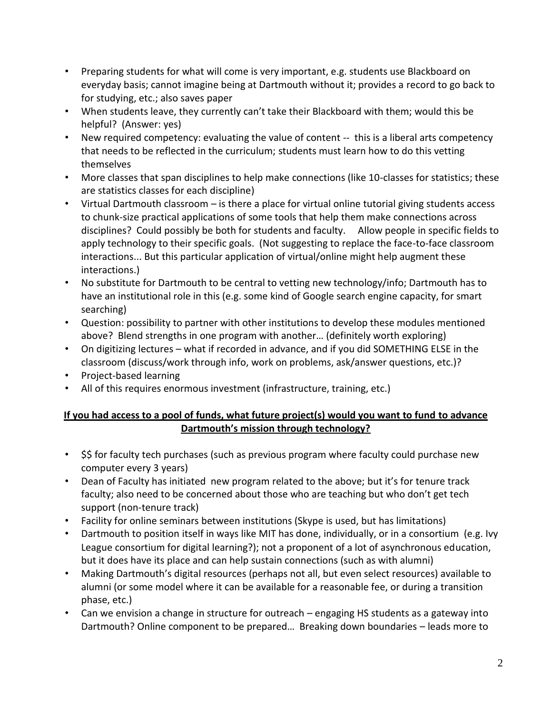- Preparing students for what will come is very important, e.g. students use Blackboard on everyday basis; cannot imagine being at Dartmouth without it; provides a record to go back to for studying, etc.; also saves paper
- When students leave, they currently can't take their Blackboard with them; would this be helpful? (Answer: yes)
- New required competency: evaluating the value of content -- this is a liberal arts competency that needs to be reflected in the curriculum; students must learn how to do this vetting themselves
- More classes that span disciplines to help make connections (like 10-classes for statistics; these are statistics classes for each discipline)
- Virtual Dartmouth classroom is there a place for virtual online tutorial giving students access to chunk-size practical applications of some tools that help them make connections across disciplines? Could possibly be both for students and faculty. Allow people in specific fields to apply technology to their specific goals. (Not suggesting to replace the face-to-face classroom interactions... But this particular application of virtual/online might help augment these interactions.)
- No substitute for Dartmouth to be central to vetting new technology/info; Dartmouth has to have an institutional role in this (e.g. some kind of Google search engine capacity, for smart searching)
- Question: possibility to partner with other institutions to develop these modules mentioned above? Blend strengths in one program with another… (definitely worth exploring)
- On digitizing lectures what if recorded in advance, and if you did SOMETHING ELSE in the classroom (discuss/work through info, work on problems, ask/answer questions, etc.)?
- Project-based learning
- All of this requires enormous investment (infrastructure, training, etc.)

## **If you had access to a pool of funds, what future project(s) would you want to fund to advance Dartmouth's mission through technology?**

- S\$ for faculty tech purchases (such as previous program where faculty could purchase new computer every 3 years)
- Dean of Faculty has initiated new program related to the above; but it's for tenure track faculty; also need to be concerned about those who are teaching but who don't get tech support (non-tenure track)
- Facility for online seminars between institutions (Skype is used, but has limitations)
- Dartmouth to position itself in ways like MIT has done, individually, or in a consortium (e.g. Ivy League consortium for digital learning?); not a proponent of a lot of asynchronous education, but it does have its place and can help sustain connections (such as with alumni)
- Making Dartmouth's digital resources (perhaps not all, but even select resources) available to alumni (or some model where it can be available for a reasonable fee, or during a transition phase, etc.)
- Can we envision a change in structure for outreach engaging HS students as a gateway into Dartmouth? Online component to be prepared… Breaking down boundaries – leads more to